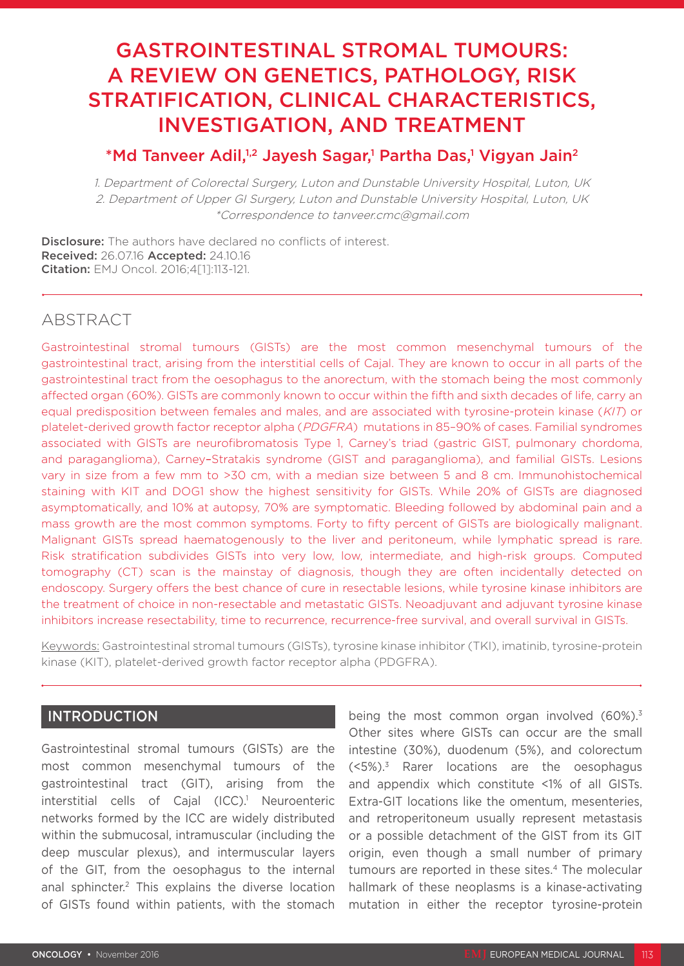# GASTROINTESTINAL STROMAL TUMOURS: A REVIEW ON GENETICS, PATHOLOGY, RISK STRATIFICATION, CLINICAL CHARACTERISTICS, INVESTIGATION, AND TREATMENT

# \*Md Tanveer Adil,<sup>1,2</sup> Jayesh Sagar,<sup>1</sup> Partha Das,<sup>1</sup> Vigyan Jain<sup>2</sup>

1. Department of Colorectal Surgery, Luton and Dunstable University Hospital, Luton, UK 2. Department of Upper GI Surgery, Luton and Dunstable University Hospital, Luton, UK \*Correspondence to tanveer.cmc@gmail.com

**Disclosure:** The authors have declared no conflicts of interest. Received: 26.07.16 Accepted: 24.10.16 Citation: EMJ Oncol. 2016;4[1]:113-121.

# ABSTRACT

Gastrointestinal stromal tumours (GISTs) are the most common mesenchymal tumours of the gastrointestinal tract, arising from the interstitial cells of Cajal. They are known to occur in all parts of the gastrointestinal tract from the oesophagus to the anorectum, with the stomach being the most commonly affected organ (60%). GISTs are commonly known to occur within the fifth and sixth decades of life, carry an equal predisposition between females and males, and are associated with tyrosine-protein kinase (KIT) or platelet-derived growth factor receptor alpha (PDGFRA) mutations in 85–90% of cases. Familial syndromes associated with GISTs are neurofibromatosis Type 1, Carney's triad (gastric GIST, pulmonary chordoma, and paraganglioma), Carney–Stratakis syndrome (GIST and paraganglioma), and familial GISTs. Lesions vary in size from a few mm to >30 cm, with a median size between 5 and 8 cm. Immunohistochemical staining with KIT and DOG1 show the highest sensitivity for GISTs. While 20% of GISTs are diagnosed asymptomatically, and 10% at autopsy, 70% are symptomatic. Bleeding followed by abdominal pain and a mass growth are the most common symptoms. Forty to fifty percent of GISTs are biologically malignant. Malignant GISTs spread haematogenously to the liver and peritoneum, while lymphatic spread is rare. Risk stratification subdivides GISTs into very low, low, intermediate, and high-risk groups. Computed tomography (CT) scan is the mainstay of diagnosis, though they are often incidentally detected on endoscopy. Surgery offers the best chance of cure in resectable lesions, while tyrosine kinase inhibitors are the treatment of choice in non-resectable and metastatic GISTs. Neoadjuvant and adjuvant tyrosine kinase inhibitors increase resectability, time to recurrence, recurrence-free survival, and overall survival in GISTs.

Keywords: Gastrointestinal stromal tumours (GISTs), tyrosine kinase inhibitor (TKI), imatinib, tyrosine-protein kinase (KIT), platelet-derived growth factor receptor alpha (PDGFRA).

# INTRODUCTION

Gastrointestinal stromal tumours (GISTs) are the most common mesenchymal tumours of the gastrointestinal tract (GIT), arising from the interstitial cells of Cajal (ICC).<sup>1</sup> Neuroenteric networks formed by the ICC are widely distributed within the submucosal, intramuscular (including the deep muscular plexus), and intermuscular layers of the GIT, from the oesophagus to the internal anal sphincter.<sup>2</sup> This explains the diverse location of GISTs found within patients, with the stomach

being the most common organ involved  $(60\%)$ <sup>3</sup> Other sites where GISTs can occur are the small intestine (30%), duodenum (5%), and colorectum  $(<5\%)$ <sup>3</sup> Rarer locations are the oesophagus and appendix which constitute <1% of all GISTs. Extra-GIT locations like the omentum, mesenteries, and retroperitoneum usually represent metastasis or a possible detachment of the GIST from its GIT origin, even though a small number of primary tumours are reported in these sites.4 The molecular hallmark of these neoplasms is a kinase-activating mutation in either the receptor tyrosine-protein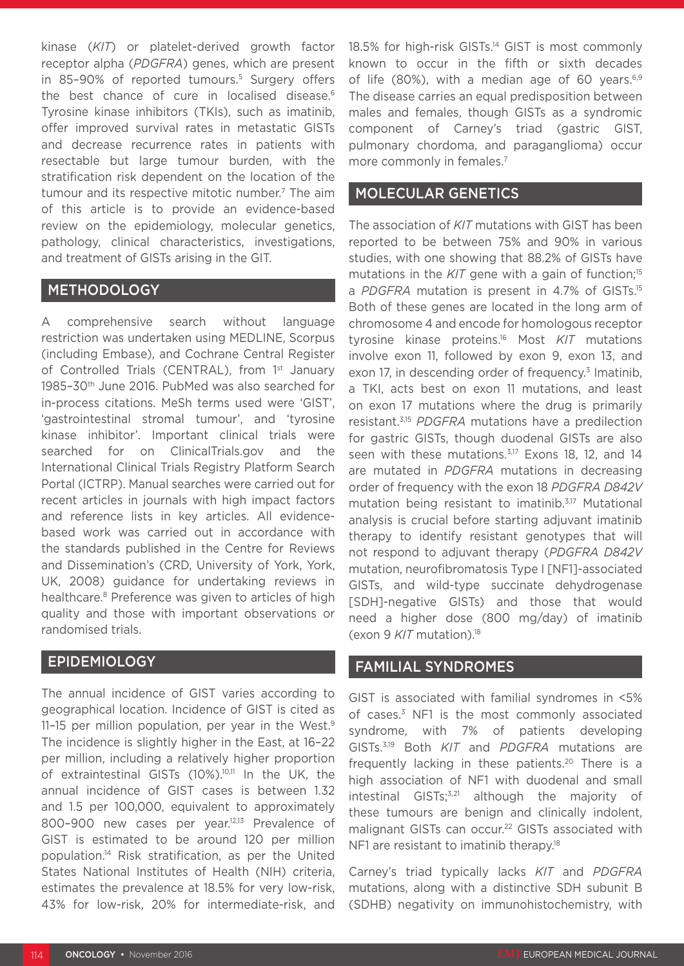kinase (*KIT*) or platelet-derived growth factor receptor alpha (*PDGFRA*) genes, which are present in 85-90% of reported tumours.<sup>5</sup> Surgery offers the best chance of cure in localised disease.<sup>6</sup> Tyrosine kinase inhibitors (TKIs), such as imatinib, offer improved survival rates in metastatic GISTs and decrease recurrence rates in patients with resectable but large tumour burden, with the stratification risk dependent on the location of the tumour and its respective mitotic number.<sup>7</sup> The aim of this article is to provide an evidence-based review on the epidemiology, molecular genetics, pathology, clinical characteristics, investigations, and treatment of GISTs arising in the GIT.

# **METHODOLOGY**

A comprehensive search without language restriction was undertaken using MEDLINE, Scorpus (including Embase), and Cochrane Central Register of Controlled Trials (CENTRAL), from 1<sup>st</sup> January 1985–30th June 2016. PubMed was also searched for in-process citations. MeSh terms used were 'GIST', 'gastrointestinal stromal tumour', and 'tyrosine kinase inhibitor'. Important clinical trials were searched for on ClinicalTrials.gov and the International Clinical Trials Registry Platform Search Portal (ICTRP). Manual searches were carried out for recent articles in journals with high impact factors and reference lists in key articles. All evidencebased work was carried out in accordance with the standards published in the Centre for Reviews and Dissemination's (CRD, University of York, York, UK, 2008) guidance for undertaking reviews in healthcare.<sup>8</sup> Preference was given to articles of high quality and those with important observations or randomised trials.

# EPIDEMIOLOGY

The annual incidence of GIST varies according to geographical location. Incidence of GIST is cited as 11-15 per million population, per year in the West.<sup>9</sup> The incidence is slightly higher in the East, at 16–22 per million, including a relatively higher proportion of extraintestinal GISTs (10%).10,11 In the UK, the annual incidence of GIST cases is between 1.32 and 1.5 per 100,000, equivalent to approximately 800-900 new cases per year.<sup>12,13</sup> Prevalence of GIST is estimated to be around 120 per million population.14 Risk stratification, as per the United States National Institutes of Health (NIH) criteria, estimates the prevalence at 18.5% for very low-risk, 43% for low-risk, 20% for intermediate-risk, and 18.5% for high-risk GISTs.<sup>14</sup> GIST is most commonly known to occur in the fifth or sixth decades of life (80%), with a median age of 60 years. $6,9$ The disease carries an equal predisposition between males and females, though GISTs as a syndromic component of Carney's triad (gastric GIST, pulmonary chordoma, and paraganglioma) occur more commonly in females.<sup>7</sup>

## MOLECULAR GENETICS

The association of *KIT* mutations with GIST has been reported to be between 75% and 90% in various studies, with one showing that 88.2% of GISTs have mutations in the  $K/T$  gene with a gain of function;<sup>15</sup> a *PDGFRA* mutation is present in 4.7% of GISTs.15 Both of these genes are located in the long arm of chromosome 4 and encode for homologous receptor tyrosine kinase proteins.16 Most *KIT* mutations involve exon 11, followed by exon 9, exon 13, and exon 17, in descending order of frequency. $3$  Imatinib, a TKI, acts best on exon 11 mutations, and least on exon 17 mutations where the drug is primarily resistant.3,15 *PDGFRA* mutations have a predilection for gastric GISTs, though duodenal GISTs are also seen with these mutations.<sup>3,17</sup> Exons 18, 12, and 14 are mutated in *PDGFRA* mutations in decreasing order of frequency with the exon 18 *PDGFRA D842V* mutation being resistant to imatinib.3,17 Mutational analysis is crucial before starting adjuvant imatinib therapy to identify resistant genotypes that will not respond to adjuvant therapy (*PDGFRA D842V* mutation, neurofibromatosis Type I [NF1]-associated GISTs, and wild-type succinate dehydrogenase [SDH]-negative GISTs) and those that would need a higher dose (800 mg/day) of imatinib (exon 9 *KIT* mutation).18

### FAMILIAL SYNDROMES

GIST is associated with familial syndromes in <5% of cases.<sup>3</sup> NF1 is the most commonly associated syndrome, with 7% of patients developing GISTs.3,19 Both *KIT* and *PDGFRA* mutations are frequently lacking in these patients.<sup>20</sup> There is a high association of NF1 with duodenal and small intestinal GISTs; $3,21$  although the majority of these tumours are benign and clinically indolent, malignant GISTs can occur.<sup>22</sup> GISTs associated with NF1 are resistant to imatinib therapy.<sup>18</sup>

Carney's triad typically lacks *KIT* and *PDGFRA*  mutations, along with a distinctive SDH subunit B (SDHB) negativity on immunohistochemistry, with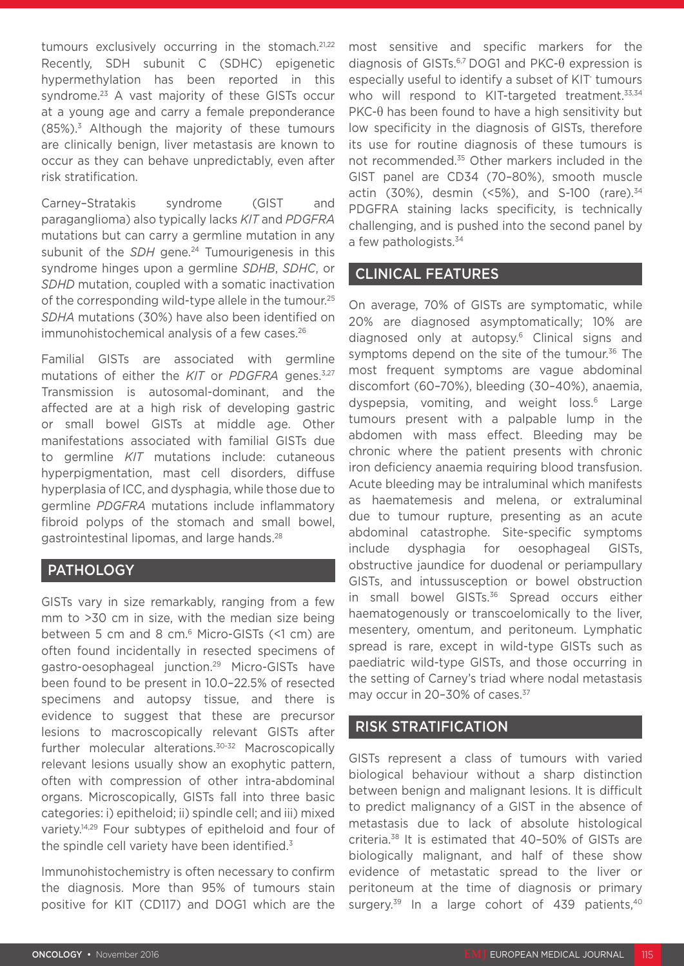tumours exclusively occurring in the stomach.<sup>21,22</sup> Recently, SDH subunit C (SDHC) epigenetic hypermethylation has been reported in this syndrome.<sup>23</sup> A vast majority of these GISTs occur at a young age and carry a female preponderance  $(85\%)$ <sup>3</sup> Although the majority of these tumours are clinically benign, liver metastasis are known to occur as they can behave unpredictably, even after risk stratification.

Carney–Stratakis syndrome (GIST and paraganglioma) also typically lacks *KIT* and *PDGFRA* mutations but can carry a germline mutation in any subunit of the *SDH* gene.<sup>24</sup> Tumourigenesis in this syndrome hinges upon a germline *SDHB*, *SDHC*, or *SDHD* mutation, coupled with a somatic inactivation of the corresponding wild-type allele in the tumour.<sup>25</sup> *SDHA* mutations (30%) have also been identified on immunohistochemical analysis of a few cases.<sup>26</sup>

Familial GISTs are associated with germline mutations of either the *KIT* or *PDGFRA* genes.<sup>3,27</sup> Transmission is autosomal-dominant, and the affected are at a high risk of developing gastric or small bowel GISTs at middle age. Other manifestations associated with familial GISTs due to germline *KIT* mutations include: cutaneous hyperpigmentation, mast cell disorders, diffuse hyperplasia of ICC, and dysphagia, while those due to germline *PDGFRA* mutations include inflammatory fibroid polyps of the stomach and small bowel, gastrointestinal lipomas, and large hands.28

# **PATHOLOGY**

GISTs vary in size remarkably, ranging from a few mm to >30 cm in size, with the median size being between 5 cm and 8 cm.6 Micro-GISTs (<1 cm) are often found incidentally in resected specimens of gastro-oesophageal junction.29 Micro-GISTs have been found to be present in 10.0–22.5% of resected specimens and autopsy tissue, and there is evidence to suggest that these are precursor lesions to macroscopically relevant GISTs after further molecular alterations.30-32 Macroscopically relevant lesions usually show an exophytic pattern, often with compression of other intra-abdominal organs. Microscopically, GISTs fall into three basic categories: i) epitheloid; ii) spindle cell; and iii) mixed variety.14,29 Four subtypes of epitheloid and four of the spindle cell variety have been identified.<sup>3</sup>

Immunohistochemistry is often necessary to confirm the diagnosis. More than 95% of tumours stain positive for KIT (CD117) and DOG1 which are the

most sensitive and specific markers for the diagnosis of GISTs.<sup>6,7</sup> DOG1 and PKC- $\theta$  expression is especially useful to identify a subset of KIT- tumours who will respond to KIT-targeted treatment.<sup>33,34</sup> PKC-θ has been found to have a high sensitivity but low specificity in the diagnosis of GISTs, therefore its use for routine diagnosis of these tumours is not recommended.<sup>35</sup> Other markers included in the GIST panel are CD34 (70–80%), smooth muscle actin (30%), desmin (<5%), and S-100 (rare). $34$ PDGFRA staining lacks specificity, is technically challenging, and is pushed into the second panel by a few pathologists.<sup>34</sup>

# CLINICAL FEATURES

On average, 70% of GISTs are symptomatic, while 20% are diagnosed asymptomatically; 10% are diagnosed only at autopsy.6 Clinical signs and symptoms depend on the site of the tumour.<sup>36</sup> The most frequent symptoms are vague abdominal discomfort (60–70%), bleeding (30–40%), anaemia, dyspepsia, vomiting, and weight loss.<sup>6</sup> Large tumours present with a palpable lump in the abdomen with mass effect. Bleeding may be chronic where the patient presents with chronic iron deficiency anaemia requiring blood transfusion. Acute bleeding may be intraluminal which manifests as haematemesis and melena, or extraluminal due to tumour rupture, presenting as an acute abdominal catastrophe. Site-specific symptoms include dysphagia for oesophageal GISTs, obstructive jaundice for duodenal or periampullary GISTs, and intussusception or bowel obstruction in small bowel GISTs.<sup>36</sup> Spread occurs either haematogenously or transcoelomically to the liver, mesentery, omentum, and peritoneum. Lymphatic spread is rare, except in wild-type GISTs such as paediatric wild-type GISTs, and those occurring in the setting of Carney's triad where nodal metastasis may occur in 20-30% of cases.<sup>37</sup>

# RISK STRATIFICATION

GISTs represent a class of tumours with varied biological behaviour without a sharp distinction between benign and malignant lesions. It is difficult to predict malignancy of a GIST in the absence of metastasis due to lack of absolute histological criteria.38 It is estimated that 40–50% of GISTs are biologically malignant, and half of these show evidence of metastatic spread to the liver or peritoneum at the time of diagnosis or primary surgery.<sup>39</sup> In a large cohort of 439 patients,<sup>40</sup>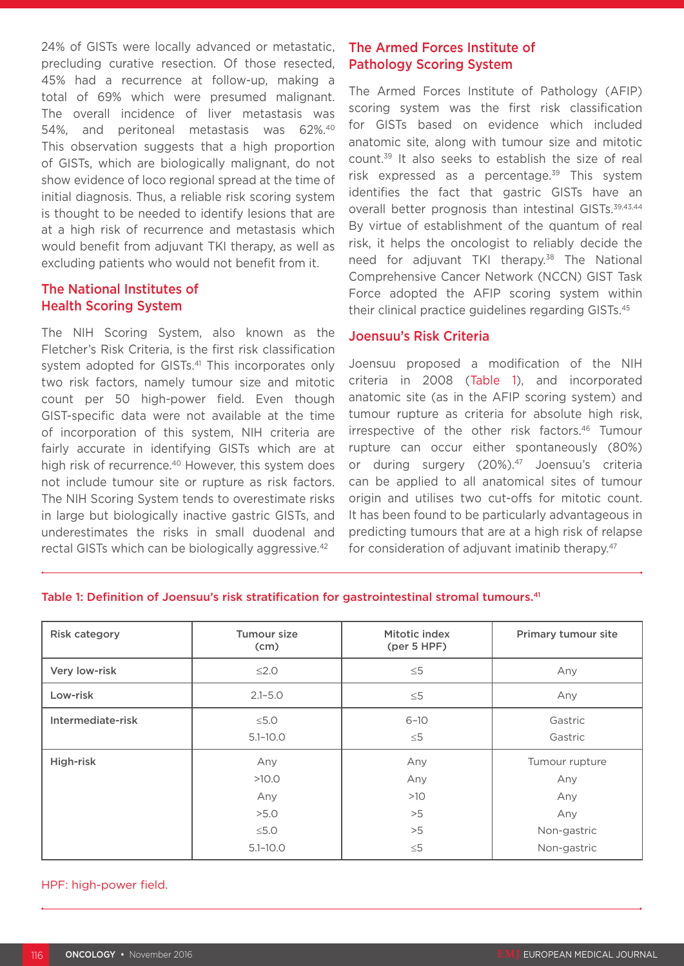24% of GISTs were locally advanced or metastatic, precluding curative resection. Of those resected, 45% had a recurrence at follow-up, making a total of 69% which were presumed malignant. The overall incidence of liver metastasis was 54%, and peritoneal metastasis was 62%.40 This observation suggests that a high proportion of GISTs, which are biologically malignant, do not show evidence of loco regional spread at the time of initial diagnosis. Thus, a reliable risk scoring system is thought to be needed to identify lesions that are at a high risk of recurrence and metastasis which would benefit from adjuvant TKI therapy, as well as excluding patients who would not benefit from it.

# The National Institutes of Health Scoring System

The NIH Scoring System, also known as the Fletcher's Risk Criteria, is the first risk classification system adopted for GISTs.<sup>41</sup> This incorporates only two risk factors, namely tumour size and mitotic count per 50 high-power field. Even though GIST-specific data were not available at the time of incorporation of this system, NIH criteria are fairly accurate in identifying GISTs which are at high risk of recurrence.<sup>40</sup> However, this system does not include tumour site or rupture as risk factors. The NIH Scoring System tends to overestimate risks in large but biologically inactive gastric GISTs, and underestimates the risks in small duodenal and rectal GISTs which can be biologically aggressive.<sup>42</sup>

# The Armed Forces Institute of Pathology Scoring System

The Armed Forces Institute of Pathology (AFIP) scoring system was the first risk classification for GISTs based on evidence which included anatomic site, along with tumour size and mitotic count.39 It also seeks to establish the size of real risk expressed as a percentage.<sup>39</sup> This system identifies the fact that gastric GISTs have an overall better prognosis than intestinal GISTs.<sup>39,43,44</sup> By virtue of establishment of the quantum of real risk, it helps the oncologist to reliably decide the need for adjuvant TKI therapy.<sup>38</sup> The National Comprehensive Cancer Network (NCCN) GIST Task Force adopted the AFIP scoring system within their clinical practice guidelines regarding GISTs.45

#### Joensuu's Risk Criteria

Joensuu proposed a modification of the NIH criteria in 2008 (Table 1), and incorporated anatomic site (as in the AFIP scoring system) and tumour rupture as criteria for absolute high risk, irrespective of the other risk factors.46 Tumour rupture can occur either spontaneously (80%) or during surgery (20%).<sup>47</sup> Joensuu's criteria can be applied to all anatomical sites of tumour origin and utilises two cut-offs for mitotic count. It has been found to be particularly advantageous in predicting tumours that are at a high risk of relapse for consideration of adjuvant imatinib therapy.<sup>47</sup>

| <b>Risk category</b> | Tumour size<br>(cm)                                       | Mitotic index<br>(per 5 HPF)              | Primary tumour site                                               |  |
|----------------------|-----------------------------------------------------------|-------------------------------------------|-------------------------------------------------------------------|--|
| Very low-risk        | $≤2.0$                                                    | $\leq 5$                                  | Any                                                               |  |
| Low-risk             | $2.1 - 5.0$                                               | $\leq 5$                                  | Any                                                               |  |
| Intermediate-risk    | $\leq 5.0$<br>$5.1 - 10.0$                                | $6 - 10$<br>$\leq 5$                      | Gastric<br>Gastric                                                |  |
| High-risk            | Any<br>>10.0<br>Any<br>>5.0<br>$\leq 5.0$<br>$5.1 - 10.0$ | Any<br>Any<br>>10<br>>5<br>>5<br>$\leq 5$ | Tumour rupture<br>Any<br>Any<br>Any<br>Non-gastric<br>Non-gastric |  |

#### Table 1: Definition of Joensuu's risk stratification for gastrointestinal stromal tumours.<sup>41</sup>

#### HPF: high-power field.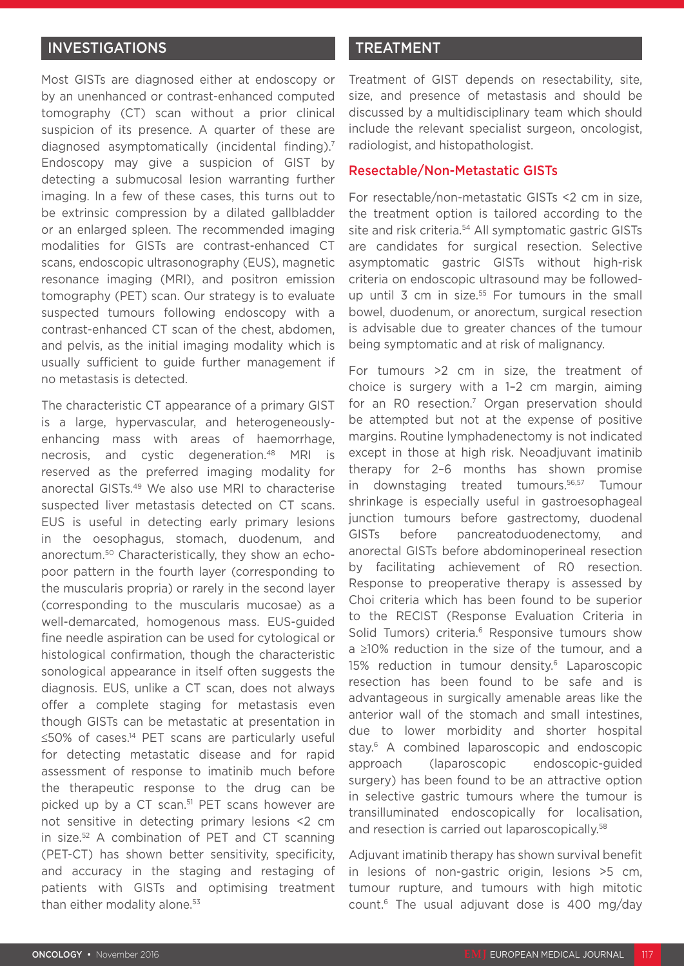# INVESTIGATIONS

Most GISTs are diagnosed either at endoscopy or by an unenhanced or contrast-enhanced computed tomography (CT) scan without a prior clinical suspicion of its presence. A quarter of these are diagnosed asymptomatically (incidental finding).7 Endoscopy may give a suspicion of GIST by detecting a submucosal lesion warranting further imaging. In a few of these cases, this turns out to be extrinsic compression by a dilated gallbladder or an enlarged spleen. The recommended imaging modalities for GISTs are contrast-enhanced CT scans, endoscopic ultrasonography (EUS), magnetic resonance imaging (MRI), and positron emission tomography (PET) scan. Our strategy is to evaluate suspected tumours following endoscopy with a contrast-enhanced CT scan of the chest, abdomen, and pelvis, as the initial imaging modality which is usually sufficient to guide further management if no metastasis is detected.

The characteristic CT appearance of a primary GIST is a large, hypervascular, and heterogeneouslyenhancing mass with areas of haemorrhage, necrosis, and cystic degeneration.48 MRI is reserved as the preferred imaging modality for anorectal GISTs.49 We also use MRI to characterise suspected liver metastasis detected on CT scans. EUS is useful in detecting early primary lesions in the oesophagus, stomach, duodenum, and anorectum.50 Characteristically, they show an echopoor pattern in the fourth layer (corresponding to the muscularis propria) or rarely in the second layer (corresponding to the muscularis mucosae) as a well-demarcated, homogenous mass. EUS-guided fine needle aspiration can be used for cytological or histological confirmation, though the characteristic sonological appearance in itself often suggests the diagnosis. EUS, unlike a CT scan, does not always offer a complete staging for metastasis even though GISTs can be metastatic at presentation in ≤50% of cases.14 PET scans are particularly useful for detecting metastatic disease and for rapid assessment of response to imatinib much before the therapeutic response to the drug can be picked up by a CT scan.<sup>51</sup> PET scans however are not sensitive in detecting primary lesions <2 cm in size.52 A combination of PET and CT scanning (PET-CT) has shown better sensitivity, specificity, and accuracy in the staging and restaging of patients with GISTs and optimising treatment than either modality alone.<sup>53</sup>

# TREATMENT

Treatment of GIST depends on resectability, site, size, and presence of metastasis and should be discussed by a multidisciplinary team which should include the relevant specialist surgeon, oncologist, radiologist, and histopathologist.

### Resectable/Non-Metastatic GISTs

For resectable/non-metastatic GISTs <2 cm in size, the treatment option is tailored according to the site and risk criteria.<sup>54</sup> All symptomatic gastric GISTs are candidates for surgical resection. Selective asymptomatic gastric GISTs without high-risk criteria on endoscopic ultrasound may be followedup until 3 cm in size.<sup>55</sup> For tumours in the small bowel, duodenum, or anorectum, surgical resection is advisable due to greater chances of the tumour being symptomatic and at risk of malignancy.

For tumours >2 cm in size, the treatment of choice is surgery with a 1–2 cm margin, aiming for an R0 resection.7 Organ preservation should be attempted but not at the expense of positive margins. Routine lymphadenectomy is not indicated except in those at high risk. Neoadjuvant imatinib therapy for 2–6 months has shown promise in downstaging treated tumours.<sup>56,57</sup> Tumour shrinkage is especially useful in gastroesophageal junction tumours before gastrectomy, duodenal GISTs before pancreatoduodenectomy, and anorectal GISTs before abdominoperineal resection by facilitating achievement of R0 resection. Response to preoperative therapy is assessed by Choi criteria which has been found to be superior to the RECIST (Response Evaluation Criteria in Solid Tumors) criteria.<sup>6</sup> Responsive tumours show a ≥10% reduction in the size of the tumour, and a 15% reduction in tumour density.<sup>6</sup> Laparoscopic resection has been found to be safe and is advantageous in surgically amenable areas like the anterior wall of the stomach and small intestines, due to lower morbidity and shorter hospital stay.<sup>6</sup> A combined laparoscopic and endoscopic approach (laparoscopic endoscopic-guided surgery) has been found to be an attractive option in selective gastric tumours where the tumour is transilluminated endoscopically for localisation, and resection is carried out laparoscopically.<sup>58</sup>

Adjuvant imatinib therapy has shown survival benefit in lesions of non-gastric origin, lesions >5 cm, tumour rupture, and tumours with high mitotic count.6 The usual adjuvant dose is 400 mg/day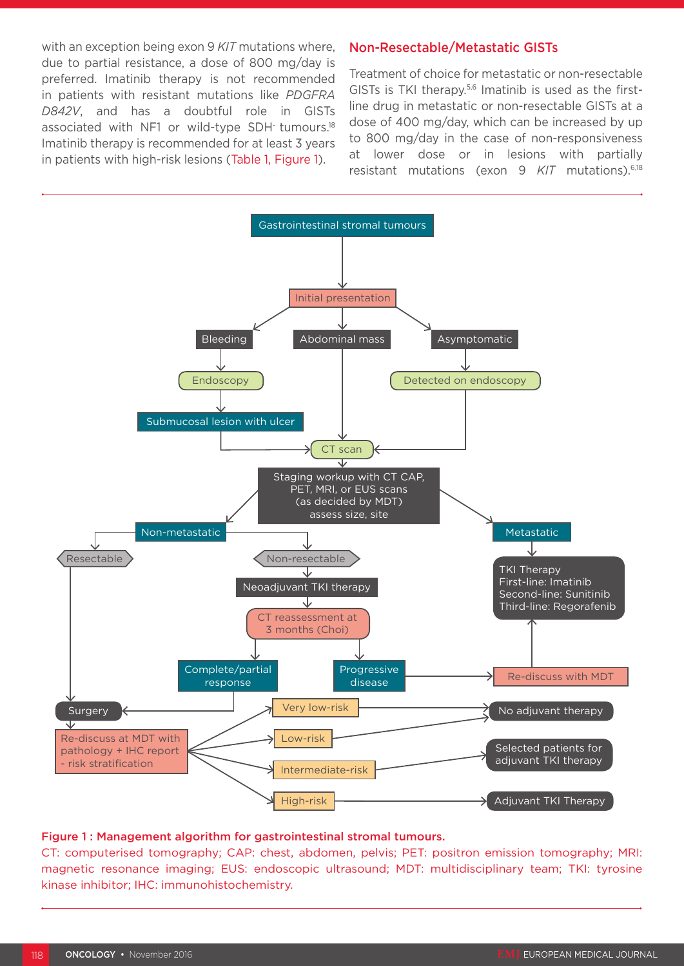with an exception being exon 9 *KIT* mutations where, due to partial resistance, a dose of 800 mg/day is preferred. Imatinib therapy is not recommended in patients with resistant mutations like *PDGFRA D842V*, and has a doubtful role in GISTs associated with NF1 or wild-type SDH tumours.<sup>18</sup> Imatinib therapy is recommended for at least 3 years in patients with high-risk lesions (Table 1, Figure 1).

# Non-Resectable/Metastatic GISTs

Treatment of choice for metastatic or non-resectable GISTs is TKI therapy. $5,6$  Imatinib is used as the firstline drug in metastatic or non-resectable GISTs at a dose of 400 mg/day, which can be increased by up to 800 mg/day in the case of non-responsiveness at lower dose or in lesions with partially resistant mutations (exon 9 *KIT* mutations).6,18



#### Figure 1 : Management algorithm for gastrointestinal stromal tumours.

CT: computerised tomography; CAP: chest, abdomen, pelvis; PET: positron emission tomography; MRI: magnetic resonance imaging; EUS: endoscopic ultrasound; MDT: multidisciplinary team; TKI: tyrosine kinase inhibitor; IHC: immunohistochemistry.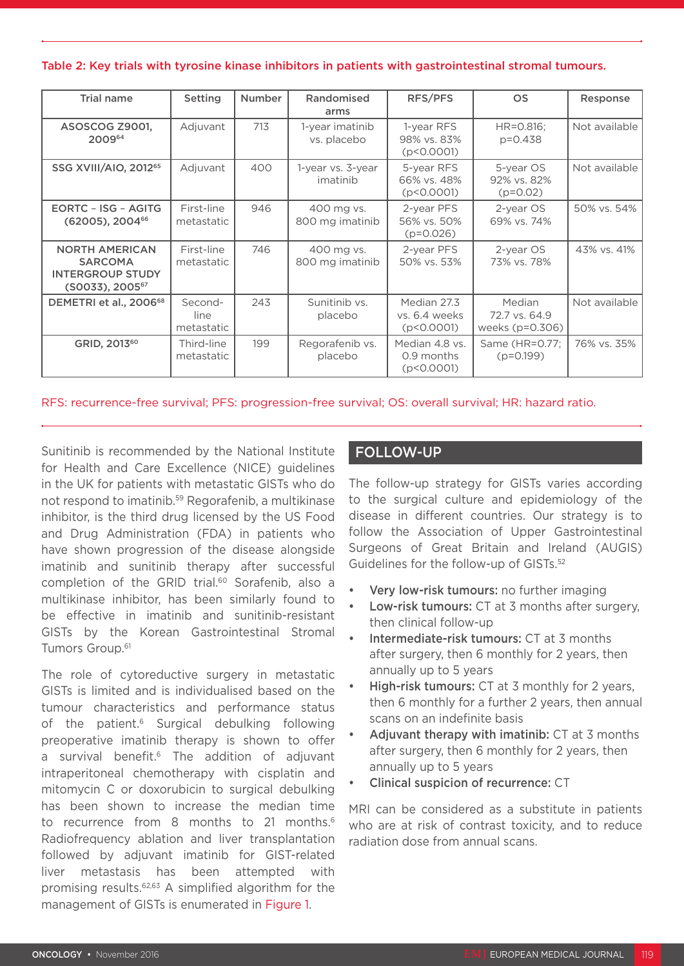Table 2: Key trials with tyrosine kinase inhibitors in patients with gastrointestinal stromal tumours.

| <b>Trial name</b>                                                                                    | Setting                       | <b>Number</b> | Randomised<br>arms             | RFS/PFS                                      | <b>OS</b>                                    | Response      |
|------------------------------------------------------------------------------------------------------|-------------------------------|---------------|--------------------------------|----------------------------------------------|----------------------------------------------|---------------|
| ASOSCOG Z9001,<br>200964                                                                             | Adjuvant                      | 713           | 1-year imatinib<br>vs. placebo | 1-year RFS<br>98% vs. 83%<br>(p < 0.0001)    | HR=0.816;<br>$p = 0.438$                     | Not available |
| SSG XVIII/AIO, 2012 <sup>65</sup>                                                                    | Adjuvant                      | 400           | 1-year vs. 3-year<br>imatinib  | 5-year RFS<br>66% vs. 48%<br>(p < 0.0001)    | 5-year OS<br>92% vs. 82%<br>$(p=0.02)$       | Not available |
| <b>EORTC - ISG - AGITG</b><br>$(62005)$ , 2004 <sup>66</sup>                                         | First-line<br>metastatic      | 946           | 400 mg vs.<br>800 mg imatinib  | 2-year PFS<br>56% vs. 50%<br>$(p=0.026)$     | 2-year OS<br>69% vs. 74%                     | 50% vs. 54%   |
| <b>NORTH AMERICAN</b><br><b>SARCOMA</b><br><b>INTERGROUP STUDY</b><br>$(S0033)$ , 2005 <sup>67</sup> | First-line<br>metastatic      | 746           | 400 mg vs.<br>800 mg imatinib  | 2-year PFS<br>50% vs. 53%                    | 2-year OS<br>73% vs. 78%                     | 43% vs. 41%   |
| DEMETRI et al., 2006 <sup>68</sup>                                                                   | Second-<br>line<br>metastatic | 243           | Sunitinib vs.<br>placebo       | Median 27.3<br>vs. 6.4 weeks<br>(p < 0.0001) | Median<br>72.7 vs. 64.9<br>weeks $(p=0.306)$ | Not available |
| GRID, 2013 <sup>60</sup>                                                                             | Third-line<br>metastatic      | 199           | Regorafenib vs.<br>placebo     | Median 4.8 vs.<br>0.9 months<br>(p < 0.0001) | Same (HR=0.77;<br>$(p=0.199)$                | 76% vs. 35%   |

RFS: recurrence-free survival; PFS: progression-free survival; OS: overall survival; HR: hazard ratio.

Sunitinib is recommended by the National Institute for Health and Care Excellence (NICE) guidelines in the UK for patients with metastatic GISTs who do not respond to imatinib.59 Regorafenib, a multikinase inhibitor, is the third drug licensed by the US Food and Drug Administration (FDA) in patients who have shown progression of the disease alongside imatinib and sunitinib therapy after successful completion of the GRID trial.<sup>60</sup> Sorafenib, also a multikinase inhibitor, has been similarly found to be effective in imatinib and sunitinib-resistant GISTs by the Korean Gastrointestinal Stromal Tumors Group.<sup>61</sup>

The role of cytoreductive surgery in metastatic GISTs is limited and is individualised based on the tumour characteristics and performance status of the patient.<sup>6</sup> Surgical debulking following preoperative imatinib therapy is shown to offer a survival benefit.<sup>6</sup> The addition of adjuvant intraperitoneal chemotherapy with cisplatin and mitomycin C or doxorubicin to surgical debulking has been shown to increase the median time to recurrence from 8 months to 21 months.<sup>6</sup> Radiofrequency ablation and liver transplantation followed by adjuvant imatinib for GIST-related liver metastasis has been attempted with promising results.62,63 A simplified algorithm for the management of GISTs is enumerated in Figure 1.

# FOLLOW-UP

The follow-up strategy for GISTs varies according to the surgical culture and epidemiology of the disease in different countries. Our strategy is to follow the Association of Upper Gastrointestinal Surgeons of Great Britain and Ireland (AUGIS) Guidelines for the follow-up of GISTs.52

- Very low-risk tumours: no further imaging
- Low-risk tumours: CT at 3 months after surgery, then clinical follow-up
- Intermediate-risk tumours: CT at 3 months after surgery, then 6 monthly for 2 years, then annually up to 5 years
- High-risk tumours: CT at 3 monthly for 2 years. then 6 monthly for a further 2 years, then annual scans on an indefinite basis
- Adjuvant therapy with imatinib: CT at 3 months after surgery, then 6 monthly for 2 years, then annually up to 5 years
- Clinical suspicion of recurrence: CT

MRI can be considered as a substitute in patients who are at risk of contrast toxicity, and to reduce radiation dose from annual scans.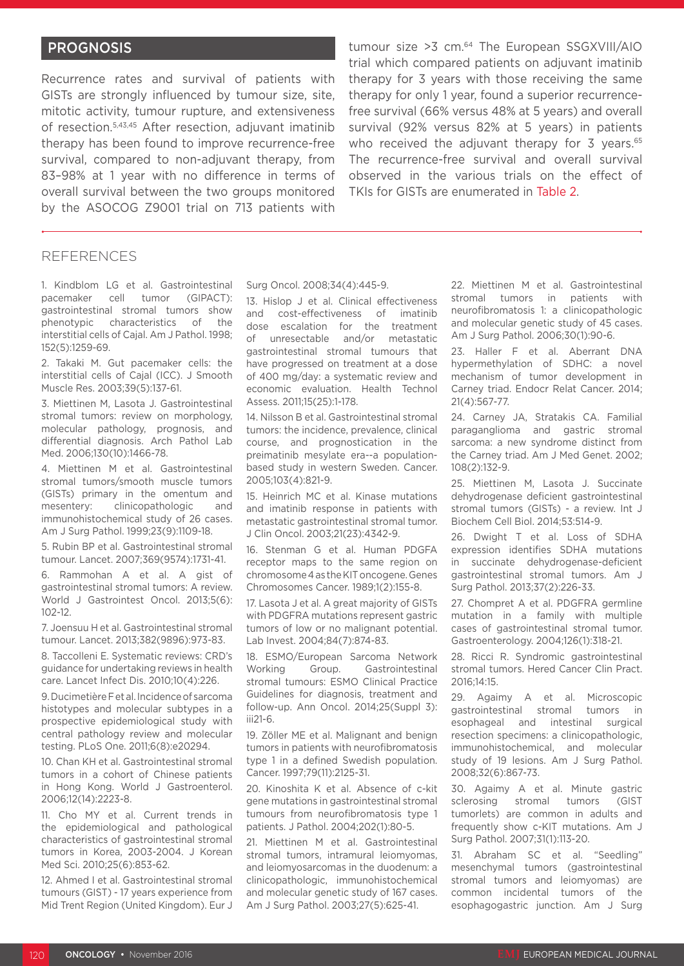# PROGNOSIS

Recurrence rates and survival of patients with GISTs are strongly influenced by tumour size, site, mitotic activity, tumour rupture, and extensiveness of resection.5,43,45 After resection, adjuvant imatinib therapy has been found to improve recurrence-free survival, compared to non-adjuvant therapy, from 83–98% at 1 year with no difference in terms of overall survival between the two groups monitored by the ASOCOG Z9001 trial on 713 patients with

tumour size > 3 cm.<sup>64</sup> The European SSGXVIII/AIO trial which compared patients on adjuvant imatinib therapy for 3 years with those receiving the same therapy for only 1 year, found a superior recurrencefree survival (66% versus 48% at 5 years) and overall survival (92% versus 82% at 5 years) in patients who received the adjuvant therapy for  $3$  years.<sup>65</sup> The recurrence-free survival and overall survival observed in the various trials on the effect of TKIs for GISTs are enumerated in Table 2.

#### REFERENCES

1. Kindblom LG et al. Gastrointestinal pacemaker cell tumor (GIPACT): gastrointestinal stromal tumors show phenotypic characteristics of the interstitial cells of Cajal. Am J Pathol. 1998; 152(5):1259-69.

2. Takaki M. Gut pacemaker cells: the interstitial cells of Cajal (ICC). J Smooth Muscle Res. 2003;39(5):137-61.

3. Miettinen M, Lasota J. Gastrointestinal stromal tumors: review on morphology, molecular pathology, prognosis, and differential diagnosis. Arch Pathol Lab Med. 2006;130(10):1466-78.

4. Miettinen M et al. Gastrointestinal stromal tumors/smooth muscle tumors (GISTs) primary in the omentum and mesentery: clinicopathologic and immunohistochemical study of 26 cases. Am J Surg Pathol. 1999;23(9):1109-18.

5. Rubin BP et al. Gastrointestinal stromal tumour. Lancet. 2007;369(9574):1731-41.

6. Rammohan A et al. A gist of gastrointestinal stromal tumors: A review. World J Gastrointest Oncol. 2013;5(6):  $102 - 12$ 

7. Joensuu H et al. Gastrointestinal stromal tumour. Lancet. 2013;382(9896):973-83.

8. Taccolleni E. Systematic reviews: CRD's guidance for undertaking reviews in health care. Lancet Infect Dis. 2010;10(4):226.

9. Ducimetière F et al. Incidence of sarcoma histotypes and molecular subtypes in a prospective epidemiological study with central pathology review and molecular testing. PLoS One. 2011;6(8):e20294.

10. Chan KH et al. Gastrointestinal stromal tumors in a cohort of Chinese patients in Hong Kong. World J Gastroenterol. 2006;12(14):2223-8.

11. Cho MY et al. Current trends in the epidemiological and pathological characteristics of gastrointestinal stromal tumors in Korea, 2003-2004. J Korean Med Sci. 2010;25(6):853-62.

12. Ahmed I et al. Gastrointestinal stromal tumours (GIST) - 17 years experience from Mid Trent Region (United Kingdom). Eur J Surg Oncol. 2008;34(4):445-9.

13. Hislop J et al. Clinical effectiveness and cost-effectiveness of imatinib dose escalation for the treatment of unresectable and/or metastatic gastrointestinal stromal tumours that have progressed on treatment at a dose of 400 mg/day: a systematic review and economic evaluation. Health Technol Assess. 2011;15(25):1-178.

14. Nilsson B et al. Gastrointestinal stromal tumors: the incidence, prevalence, clinical course, and prognostication in the preimatinib mesylate era--a populationbased study in western Sweden. Cancer. 2005;103(4):821-9.

15. Heinrich MC et al. Kinase mutations and imatinib response in patients with metastatic gastrointestinal stromal tumor. J Clin Oncol. 2003;21(23):4342-9.

16. Stenman G et al. Human PDGFA receptor maps to the same region on chromosome 4 as the KIT oncogene. Genes Chromosomes Cancer. 1989;1(2):155-8.

17. Lasota J et al. A great majority of GISTs with PDGFRA mutations represent gastric tumors of low or no malignant potential. Lab Invest. 2004;84(7):874-83.

18. ESMO/European Sarcoma Network Working Group. Gastrointestinal stromal tumours: ESMO Clinical Practice Guidelines for diagnosis, treatment and follow-up. Ann Oncol. 2014;25(Suppl 3): iii21-6.

19. Zöller ME et al. Malignant and benign tumors in patients with neurofibromatosis type 1 in a defined Swedish population. Cancer. 1997;79(11):2125-31.

20. Kinoshita K et al. Absence of c-kit gene mutations in gastrointestinal stromal tumours from neurofibromatosis type 1 patients. J Pathol. 2004;202(1):80-5.

21. Miettinen M et al. Gastrointestinal stromal tumors, intramural leiomyomas, and leiomyosarcomas in the duodenum: a clinicopathologic, immunohistochemical and molecular genetic study of 167 cases. Am J Surg Pathol. 2003;27(5):625-41.

22. Miettinen M et al. Gastrointestinal stromal tumors in patients with neurofibromatosis 1: a clinicopathologic and molecular genetic study of 45 cases. Am J Surg Pathol. 2006;30(1):90-6.

23. Haller F et al. Aberrant DNA hypermethylation of SDHC: a novel mechanism of tumor development in Carney triad. Endocr Relat Cancer. 2014; 21(4):567-77.

24. Carney JA, Stratakis CA. Familial paraganglioma and gastric stromal sarcoma: a new syndrome distinct from the Carney triad. Am J Med Genet. 2002; 108(2):132-9.

25. Miettinen M, Lasota J. Succinate dehydrogenase deficient gastrointestinal stromal tumors (GISTs) - a review. Int J Biochem Cell Biol. 2014;53:514-9.

26. Dwight T et al. Loss of SDHA expression identifies SDHA mutations in succinate dehydrogenase-deficient gastrointestinal stromal tumors. Am J Surg Pathol. 2013;37(2):226-33.

27. Chompret A et al. PDGFRA germline mutation in a family with multiple cases of gastrointestinal stromal tumor. Gastroenterology. 2004;126(1):318-21.

28. Ricci R. Syndromic gastrointestinal stromal tumors. Hered Cancer Clin Pract. 2016;14:15.

29. Agaimy A et al. Microscopic gastrointestinal stromal tumors in esophageal and intestinal surgical resection specimens: a clinicopathologic, immunohistochemical, and molecular study of 19 lesions. Am J Surg Pathol. 2008;32(6):867-73.

30. Agaimy A et al. Minute gastric sclerosing stromal tumors (GIST tumorlets) are common in adults and frequently show c-KIT mutations. Am J Surg Pathol. 2007;31(1):113-20.

31. Abraham SC et al. "Seedling" mesenchymal tumors (gastrointestinal stromal tumors and leiomyomas) are common incidental tumors of the esophagogastric junction. Am J Surg